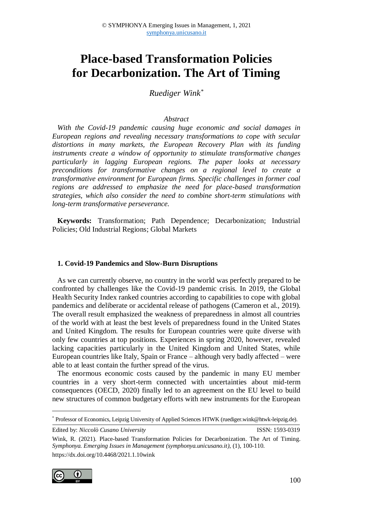# **Place-based Transformation Policies for Decarbonization. The Art of Timing**

*Ruediger Wink\**

#### *Abstract*

*With the Covid-19 pandemic causing huge economic and social damages in European regions and revealing necessary transformations to cope with secular distortions in many markets, the European Recovery Plan with its funding instruments create a window of opportunity to stimulate transformative changes particularly in lagging European regions. The paper looks at necessary preconditions for transformative changes on a regional level to create a transformative environment for European firms. Specific challenges in former coal regions are addressed to emphasize the need for place-based transformation strategies, which also consider the need to combine short-term stimulations with long-term transformative perseverance.*

**Keywords:** Transformation; Path Dependence; Decarbonization; Industrial Policies; Old Industrial Regions; Global Markets

#### **1. Covid-19 Pandemics and Slow-Burn Disruptions**

As we can currently observe, no country in the world was perfectly prepared to be confronted by challenges like the Covid-19 pandemic crisis. In 2019, the Global Health Security Index ranked countries according to capabilities to cope with global pandemics and deliberate or accidental release of pathogens (Cameron et al., 2019). The overall result emphasized the weakness of preparedness in almost all countries of the world with at least the best levels of preparedness found in the United States and United Kingdom. The results for European countries were quite diverse with only few countries at top positions. Experiences in spring 2020, however, revealed lacking capacities particularly in the United Kingdom and United States, while European countries like Italy, Spain or France – although very badly affected – were able to at least contain the further spread of the virus.

The enormous economic costs caused by the pandemic in many EU member countries in a very short-term connected with uncertainties about mid-term consequences (OECD, 2020) finally led to an agreement on the EU level to build new structures of common budgetary efforts with new instruments for the European

Edited by: *Niccolò Cusano University* ISSN: 1593-0319

Wink, R. (2021). Place-based Transformation Policies for Decarbonization. The Art of Timing. *Symphonya. Emerging Issues in Management (symphonya.unicusano.it)*, (1), 100-110. [https://dx.doi.org/10.4468/2](https://dx.doi.org/10.4468/)021.1.10wink



 $\overline{a}$ 

<sup>\*</sup> Professor of Economics, Leipzig University of Applied Sciences HTWK (ruediger.wink@htwk-leipzig.de).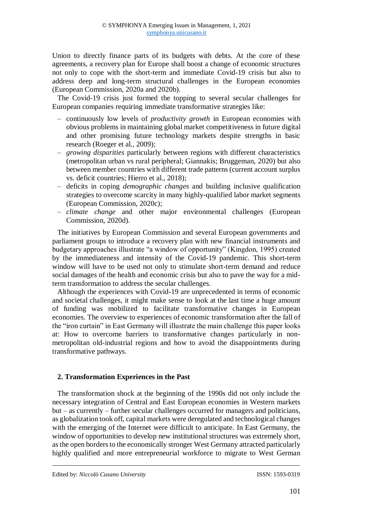Union to directly finance parts of its budgets with debts. At the core of these agreements, a recovery plan for Europe shall boost a change of economic structures not only to cope with the short-term and immediate Covid-19 crisis but also to address deep and long-term structural challenges in the European economies (European Commission, 2020a and 2020b).

The Covid-19 crisis just formed the topping to several secular challenges for European companies requiring immediate transformative strategies like:

- ‒ continuously low levels of *productivity growth* in European economies with obvious problems in maintaining global market competitiveness in future digital and other promising future technology markets despite strengths in basic research (Roeger et al., 2009);
- ‒ *growing disparities* particularly between regions with different characteristics (metropolitan urban vs rural peripheral; Giannakis; Bruggeman, 2020) but also between member countries with different trade patterns (current account surplus vs. deficit countries; Hierro et al., 2018);
- ‒ deficits in coping *demographic changes* and building inclusive qualification strategies to overcome scarcity in many highly-qualified labor market segments (European Commission, 2020c);
- ‒ *climate change* and other major environmental challenges (European Commission, 2020d).

The initiatives by European Commission and several European governments and parliament groups to introduce a recovery plan with new financial instruments and budgetary approaches illustrate "a window of opportunity" (Kingdon, 1995) created by the immediateness and intensity of the Covid-19 pandemic. This short-term window will have to be used not only to stimulate short-term demand and reduce social damages of the health and economic crisis but also to pave the way for a midterm transformation to address the secular challenges.

Although the experiences with Covid-19 are unprecedented in terms of economic and societal challenges, it might make sense to look at the last time a huge amount of funding was mobilized to facilitate transformative changes in European economies. The overview to experiences of economic transformation after the fall of the "iron curtain" in East Germany will illustrate the main challenge this paper looks at: How to overcome barriers to transformative changes particularly in nonmetropolitan old-industrial regions and how to avoid the disappointments during transformative pathways.

## **2. Transformation Experiences in the Past**

The transformation shock at the beginning of the 1990s did not only include the necessary integration of Central and East European economies in Western markets but – as currently – further secular challenges occurred for managers and politicians, as globalization took off, capital markets were deregulated and technological changes with the emerging of the Internet were difficult to anticipate. In East Germany, the window of opportunities to develop new institutional structures was extremely short, as the open borders to the economically stronger West Germany attracted particularly highly qualified and more entrepreneurial workforce to migrate to West German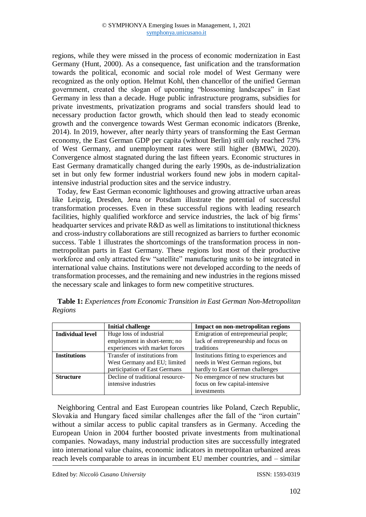regions, while they were missed in the process of economic modernization in East Germany (Hunt, 2000). As a consequence, fast unification and the transformation towards the political, economic and social role model of West Germany were recognized as the only option. Helmut Kohl, then chancellor of the unified German government, created the slogan of upcoming "blossoming landscapes" in East Germany in less than a decade. Huge public infrastructure programs, subsidies for private investments, privatization programs and social transfers should lead to necessary production factor growth, which should then lead to steady economic growth and the convergence towards West German economic indicators (Brenke, 2014). In 2019, however, after nearly thirty years of transforming the East German economy, the East German GDP per capita (without Berlin) still only reached 73% of West Germany, and unemployment rates were still higher (BMWi, 2020). Convergence almost stagnated during the last fifteen years. Economic structures in East Germany dramatically changed during the early 1990s, as de-industrialization set in but only few former industrial workers found new jobs in modern capitalintensive industrial production sites and the service industry.

Today, few East German economic lighthouses and growing attractive urban areas like Leipzig, Dresden, Jena or Potsdam illustrate the potential of successful transformation processes. Even in these successful regions with leading research facilities, highly qualified workforce and service industries, the lack of big firms' headquarter services and private R&D as well as limitations to institutional thickness and cross-industry collaborations are still recognized as barriers to further economic success. Table 1 illustrates the shortcomings of the transformation process in nonmetropolitan parts in East Germany. These regions lost most of their productive workforce and only attracted few "satellite" manufacturing units to be integrated in international value chains. Institutions were not developed according to the needs of transformation processes, and the remaining and new industries in the regions missed the necessary scale and linkages to form new competitive structures.

|                     | <b>Initial challenge</b>         | Impact on non-metropolitan regions      |
|---------------------|----------------------------------|-----------------------------------------|
| Individual level    | Huge loss of industrial          | Emigration of entrepreneurial people;   |
|                     | employment in short-term; no     | lack of entrepreneurship and focus on   |
|                     | experiences with market forces   | traditions                              |
| <b>Institutions</b> | Transfer of institutions from    | Institutions fitting to experiences and |
|                     | West Germany and EU; limited     | needs in West German regions, but       |
|                     | participation of East Germans    | hardly to East German challenges        |
| <b>Structure</b>    | Decline of traditional resource- | No emergence of new structures but      |
|                     | intensive industries             | focus on few capital-intensive          |
|                     |                                  | investments                             |

**Table 1:** *Experiences from Economic Transition in East German Non-Metropolitan Regions*

Neighboring Central and East European countries like Poland, Czech Republic, Slovakia and Hungary faced similar challenges after the fall of the "iron curtain" without a similar access to public capital transfers as in Germany. Acceding the European Union in 2004 further boosted private investments from multinational companies. Nowadays, many industrial production sites are successfully integrated into international value chains, economic indicators in metropolitan urbanized areas reach levels comparable to areas in incumbent EU member countries, and – similar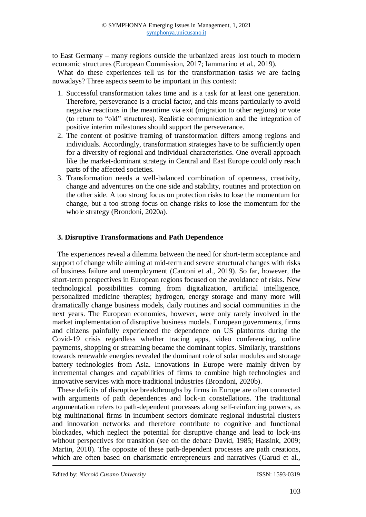to East Germany – many regions outside the urbanized areas lost touch to modern economic structures (European Commission, 2017; Iammarino et al., 2019).

What do these experiences tell us for the transformation tasks we are facing nowadays? Three aspects seem to be important in this context:

- 1. Successful transformation takes time and is a task for at least one generation. Therefore, perseverance is a crucial factor, and this means particularly to avoid negative reactions in the meantime via exit (migration to other regions) or vote (to return to "old" structures). Realistic communication and the integration of positive interim milestones should support the perseverance.
- 2. The content of positive framing of transformation differs among regions and individuals. Accordingly, transformation strategies have to be sufficiently open for a diversity of regional and individual characteristics. One overall approach like the market-dominant strategy in Central and East Europe could only reach parts of the affected societies.
- 3. Transformation needs a well-balanced combination of openness, creativity, change and adventures on the one side and stability, routines and protection on the other side. A too strong focus on protection risks to lose the momentum for change, but a too strong focus on change risks to lose the momentum for the whole strategy (Brondoni, 2020a).

## **3. Disruptive Transformations and Path Dependence**

The experiences reveal a dilemma between the need for short-term acceptance and support of change while aiming at mid-term and severe structural changes with risks of business failure and unemployment (Cantoni et al., 2019). So far, however, the short-term perspectives in European regions focused on the avoidance of risks. New technological possibilities coming from digitalization, artificial intelligence, personalized medicine therapies; hydrogen, energy storage and many more will dramatically change business models, daily routines and social communities in the next years. The European economies, however, were only rarely involved in the market implementation of disruptive business models. European governments, firms and citizens painfully experienced the dependence on US platforms during the Covid-19 crisis regardless whether tracing apps, video conferencing, online payments, shopping or streaming became the dominant topics. Similarly, transitions towards renewable energies revealed the dominant role of solar modules and storage battery technologies from Asia. Innovations in Europe were mainly driven by incremental changes and capabilities of firms to combine high technologies and innovative services with more traditional industries (Brondoni, 2020b).

These deficits of disruptive breakthroughs by firms in Europe are often connected with arguments of path dependences and lock-in constellations. The traditional argumentation refers to path-dependent processes along self-reinforcing powers, as big multinational firms in incumbent sectors dominate regional industrial clusters and innovation networks and therefore contribute to cognitive and functional blockades, which neglect the potential for disruptive change and lead to lock-ins without perspectives for transition (see on the debate David, 1985; Hassink, 2009; Martin, 2010). The opposite of these path-dependent processes are path creations, which are often based on charismatic entrepreneurs and narratives (Garud et al.,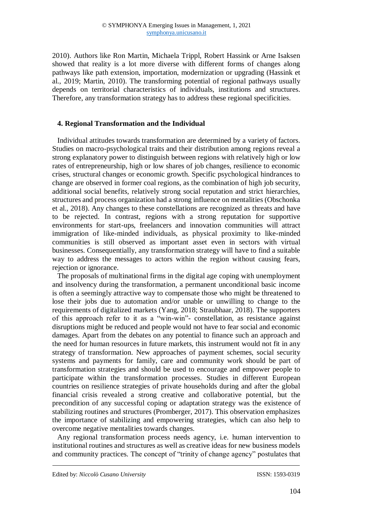2010). Authors like Ron Martin, Michaela Trippl, Robert Hassink or Arne Isaksen showed that reality is a lot more diverse with different forms of changes along pathways like path extension, importation, modernization or upgrading (Hassink et al., 2019; Martin, 2010). The transforming potential of regional pathways usually depends on territorial characteristics of individuals, institutions and structures. Therefore, any transformation strategy has to address these regional specificities.

### **4. Regional Transformation and the Individual**

Individual attitudes towards transformation are determined by a variety of factors. Studies on macro-psychological traits and their distribution among regions reveal a strong explanatory power to distinguish between regions with relatively high or low rates of entrepreneurship, high or low shares of job changes, resilience to economic crises, structural changes or economic growth. Specific psychological hindrances to change are observed in former coal regions, as the combination of high job security, additional social benefits, relatively strong social reputation and strict hierarchies, structures and process organization had a strong influence on mentalities (Obschonka et al., 2018). Any changes to these constellations are recognized as threats and have to be rejected. In contrast, regions with a strong reputation for supportive environments for start-ups, freelancers and innovation communities will attract immigration of like-minded individuals, as physical proximity to like-minded communities is still observed as important asset even in sectors with virtual businesses. Consequentially, any transformation strategy will have to find a suitable way to address the messages to actors within the region without causing fears, rejection or ignorance.

The proposals of multinational firms in the digital age coping with unemployment and insolvency during the transformation, a permanent unconditional basic income is often a seemingly attractive way to compensate those who might be threatened to lose their jobs due to automation and/or unable or unwilling to change to the requirements of digitalized markets (Yang, 2018; Straubhaar, 2018). The supporters of this approach refer to it as a "win-win"- constellation, as resistance against disruptions might be reduced and people would not have to fear social and economic damages. Apart from the debates on any potential to finance such an approach and the need for human resources in future markets, this instrument would not fit in any strategy of transformation. New approaches of payment schemes, social security systems and payments for family, care and community work should be part of transformation strategies and should be used to encourage and empower people to participate within the transformation processes. Studies in different European countries on resilience strategies of private households during and after the global financial crisis revealed a strong creative and collaborative potential, but the precondition of any successful coping or adaptation strategy was the existence of stabilizing routines and structures (Promberger, 2017). This observation emphasizes the importance of stabilizing and empowering strategies, which can also help to overcome negative mentalities towards changes.

Any regional transformation process needs agency, i.e. human intervention to institutional routines and structures as well as creative ideas for new business models and community practices. The concept of "trinity of change agency" postulates that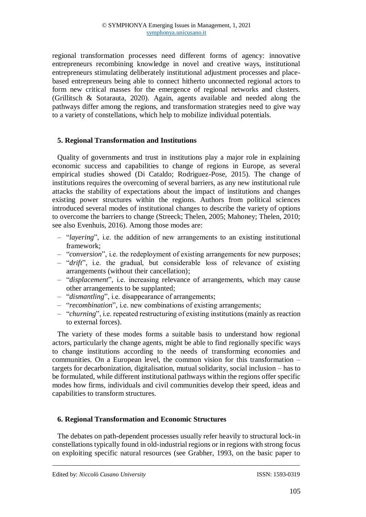regional transformation processes need different forms of agency: innovative entrepreneurs recombining knowledge in novel and creative ways, institutional entrepreneurs stimulating deliberately institutional adjustment processes and placebased entrepreneurs being able to connect hitherto unconnected regional actors to form new critical masses for the emergence of regional networks and clusters. (Grillitsch & Sotarauta, 2020). Again, agents available and needed along the pathways differ among the regions, and transformation strategies need to give way to a variety of constellations, which help to mobilize individual potentials.

## **5. Regional Transformation and Institutions**

Quality of governments and trust in institutions play a major role in explaining economic success and capabilities to change of regions in Europe, as several empirical studies showed (Di Cataldo; Rodriguez-Pose, 2015). The change of institutions requires the overcoming of several barriers, as any new institutional rule attacks the stability of expectations about the impact of institutions and changes existing power structures within the regions. Authors from political sciences introduced several modes of institutional changes to describe the variety of options to overcome the barriers to change (Streeck; Thelen, 2005; Mahoney; Thelen, 2010; see also Evenhuis, 2016). Among those modes are:

- ‒ "*layering*", i.e. the addition of new arrangements to an existing institutional framework;
- ‒ "*conversion*", i.e. the redeployment of existing arrangements for new purposes;
- ‒ "*drift*", i.e. the gradual, but considerable loss of relevance of existing arrangements (without their cancellation);
- ‒ "*displacement*", i.e. increasing relevance of arrangements, which may cause other arrangements to be supplanted;
- ‒ "*dismantling*", i.e. disappearance of arrangements;
- ‒ "*recombination*", i.e. new combinations of existing arrangements;
- ‒ "*churning*", i.e. repeated restructuring of existing institutions (mainly as reaction to external forces).

The variety of these modes forms a suitable basis to understand how regional actors, particularly the change agents, might be able to find regionally specific ways to change institutions according to the needs of transforming economies and communities. On a European level, the common vision for this transformation – targets for decarbonization, digitalisation, mutual solidarity, social inclusion – has to be formulated, while different institutional pathways within the regions offer specific modes how firms, individuals and civil communities develop their speed, ideas and capabilities to transform structures.

## **6. Regional Transformation and Economic Structures**

The debates on path-dependent processes usually refer heavily to structural lock-in constellations typically found in old-industrial regions or in regions with strong focus on exploiting specific natural resources (see Grabher, 1993, on the basic paper to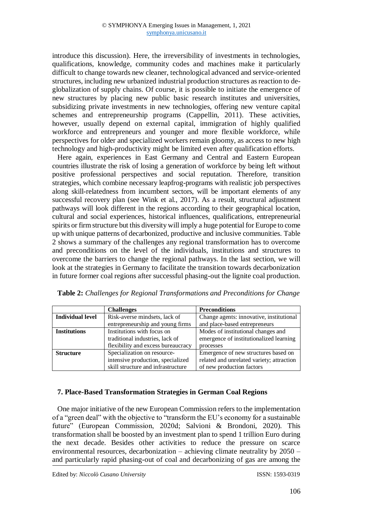introduce this discussion). Here, the irreversibility of investments in technologies, qualifications, knowledge, community codes and machines make it particularly difficult to change towards new cleaner, technological advanced and service-oriented structures, including new urbanized industrial production structures as reaction to deglobalization of supply chains. Of course, it is possible to initiate the emergence of new structures by placing new public basic research institutes and universities, subsidizing private investments in new technologies, offering new venture capital schemes and entrepreneurship programs (Cappellin, 2011). These activities, however, usually depend on external capital, immigration of highly qualified workforce and entrepreneurs and younger and more flexible workforce, while perspectives for older and specialized workers remain gloomy, as access to new high technology and high-productivity might be limited even after qualification efforts.

Here again, experiences in East Germany and Central and Eastern European countries illustrate the risk of losing a generation of workforce by being left without positive professional perspectives and social reputation. Therefore, transition strategies, which combine necessary leapfrog-programs with realistic job perspectives along skill-relatedness from incumbent sectors, will be important elements of any successful recovery plan (see Wink et al., 2017). As a result, structural adjustment pathways will look different in the regions according to their geographical location, cultural and social experiences, historical influences, qualifications, entrepreneurial spirits or firm structure but this diversity will imply a huge potential for Europe to come up with unique patterns of decarbonized, productive and inclusive communities. Table 2 shows a summary of the challenges any regional transformation has to overcome and preconditions on the level of the individuals, institutions and structures to overcome the barriers to change the regional pathways. In the last section, we will look at the strategies in Germany to facilitate the transition towards decarbonization in future former coal regions after successful phasing-out the lignite coal production.

|                         | <b>Challenges</b>                  | <b>Preconditions</b>                      |
|-------------------------|------------------------------------|-------------------------------------------|
| <b>Individual level</b> | Risk-averse mindsets, lack of      | Change agents: innovative, institutional  |
|                         | entrepreneurship and young firms   | and place-based entrepreneurs             |
| <b>Institutions</b>     | Institutions with focus on         | Modes of institutional changes and        |
|                         | traditional industries, lack of    | emergence of institutionalized learning   |
|                         | flexibility and excess bureaucracy | processes                                 |
| <b>Structure</b>        | Specialization on resource-        | Emergence of new structures based on      |
|                         | intensive production, specialized  | related and unrelated variety; attraction |
|                         | skill structure and infrastructure | of new production factors                 |

**Table 2:** *Challenges for Regional Transformations and Preconditions for Change*

### **7. Place-Based Transformation Strategies in German Coal Regions**

One major initiative of the new European Commission refers to the implementation of a "green deal" with the objective to "transform the EU's economy for a sustainable future" (European Commission, 2020d; Salvioni & Brondoni, 2020). This transformation shall be boosted by an investment plan to spend 1 trillion Euro during the next decade. Besides other activities to reduce the pressure on scarce environmental resources, decarbonization – achieving climate neutrality by 2050 – and particularly rapid phasing-out of coal and decarbonizing of gas are among the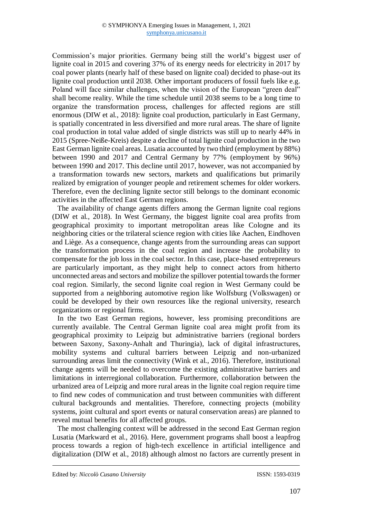Commission's major priorities. Germany being still the world's biggest user of lignite coal in 2015 and covering 37% of its energy needs for electricity in 2017 by coal power plants (nearly half of these based on lignite coal) decided to phase-out its lignite coal production until 2038. Other important producers of fossil fuels like e.g. Poland will face similar challenges, when the vision of the European "green deal" shall become reality. While the time schedule until 2038 seems to be a long time to organize the transformation process, challenges for affected regions are still enormous (DIW et al., 2018): lignite coal production, particularly in East Germany, is spatially concentrated in less diversified and more rural areas. The share of lignite coal production in total value added of single districts was still up to nearly 44% in 2015 (Spree-Neiße-Kreis) despite a decline of total lignite coal production in the two East German lignite coal areas. Lusatia accounted by two third (employment by 88%) between 1990 and 2017 and Central Germany by 77% (employment by 96%) between 1990 and 2017. This decline until 2017, however, was not accompanied by a transformation towards new sectors, markets and qualifications but primarily realized by emigration of younger people and retirement schemes for older workers. Therefore, even the declining lignite sector still belongs to the dominant economic activities in the affected East German regions.

The availability of change agents differs among the German lignite coal regions (DIW et al., 2018). In West Germany, the biggest lignite coal area profits from geographical proximity to important metropolitan areas like Cologne and its neighboring cities or the trilateral science region with cities like Aachen, Eindhoven and Liège. As a consequence, change agents from the surrounding areas can support the transformation process in the coal region and increase the probability to compensate for the job loss in the coal sector. In this case, place-based entrepreneurs are particularly important, as they might help to connect actors from hitherto unconnected areas and sectors and mobilize the spillover potential towards the former coal region. Similarly, the second lignite coal region in West Germany could be supported from a neighboring automotive region like Wolfsburg (Volkswagen) or could be developed by their own resources like the regional university, research organizations or regional firms.

In the two East German regions, however, less promising preconditions are currently available. The Central German lignite coal area might profit from its geographical proximity to Leipzig but administrative barriers (regional borders between Saxony, Saxony-Anhalt and Thuringia), lack of digital infrastructures, mobility systems and cultural barriers between Leipzig and non-urbanized surrounding areas limit the connectivity (Wink et al., 2016). Therefore, institutional change agents will be needed to overcome the existing administrative barriers and limitations in interregional collaboration. Furthermore, collaboration between the urbanized area of Leipzig and more rural areas in the lignite coal region require time to find new codes of communication and trust between communities with different cultural backgrounds and mentalities. Therefore, connecting projects (mobility systems, joint cultural and sport events or natural conservation areas) are planned to reveal mutual benefits for all affected groups.

The most challenging context will be addressed in the second East German region Lusatia (Markward et al., 2016). Here, government programs shall boost a leapfrog process towards a region of high-tech excellence in artificial intelligence and digitalization (DIW et al., 2018) although almost no factors are currently present in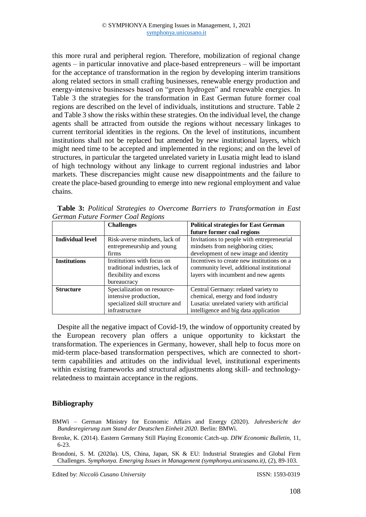this more rural and peripheral region. Therefore, mobilization of regional change agents – in particular innovative and place-based entrepreneurs – will be important for the acceptance of transformation in the region by developing interim transitions along related sectors in small crafting businesses, renewable energy production and energy-intensive businesses based on "green hydrogen" and renewable energies. In Table 3 the strategies for the transformation in East German future former coal regions are described on the level of individuals, institutions and structure. Table 2 and Table 3 show the risks within these strategies. On the individual level, the change agents shall be attracted from outside the regions without necessary linkages to current territorial identities in the regions. On the level of institutions, incumbent institutions shall not be replaced but amended by new institutional layers, which might need time to be accepted and implemented in the regions; and on the level of structures, in particular the targeted unrelated variety in Lusatia might lead to island of high technology without any linkage to current regional industries and labor markets. These discrepancies might cause new disappointments and the failure to create the place-based grounding to emerge into new regional employment and value chains.

|                         | <b>Challenges</b>               | <b>Political strategies for East German</b> |
|-------------------------|---------------------------------|---------------------------------------------|
|                         |                                 | future former coal regions                  |
| <b>Individual level</b> | Risk-averse mindsets, lack of   | Invitations to people with entrepreneurial  |
|                         | entrepreneurship and young      | mindsets from neighboring cities;           |
|                         | firms                           | development of new image and identity       |
| <b>Institutions</b>     | Institutions with focus on      | Incentives to create new institutions on a  |
|                         | traditional industries, lack of | community level, additional institutional   |
|                         | flexibility and excess          | layers with incumbent and new agents        |
|                         | bureaucracy                     |                                             |
| <b>Structure</b>        | Specialization on resource-     | Central Germany: related variety to         |
|                         | intensive production,           | chemical, energy and food industry          |
|                         | specialized skill structure and | Lusatia: unrelated variety with artificial  |
|                         | infrastructure                  | intelligence and big data application       |

**Table 3:** *Political Strategies to Overcome Barriers to Transformation in East German Future Former Coal Regions*

Despite all the negative impact of Covid-19, the window of opportunity created by the European recovery plan offers a unique opportunity to kickstart the transformation. The experiences in Germany, however, shall help to focus more on mid-term place-based transformation perspectives, which are connected to shortterm capabilities and attitudes on the individual level, institutional experiments within existing frameworks and structural adjustments along skill- and technologyrelatedness to maintain acceptance in the regions.

### **Bibliography**

- BMWi German Ministry for Economic Affairs and Energy (2020). *Jahresbericht der Bundesregierung zum Stand der Deutschen Einheit 2020*. Berlin: BMWi.
- Brenke, K. (2014). Eastern Germany Still Playing Economic Catch-up. *DIW Economic Bulletin*, 11, 6-23.
- Brondoni, S. M. (2020a). US, China, Japan, SK & EU: Industrial Strategies and Global Firm Challenges. *Symphonya. Emerging Issues in Management (symphonya.unicusano.it)*, (2), 89-103.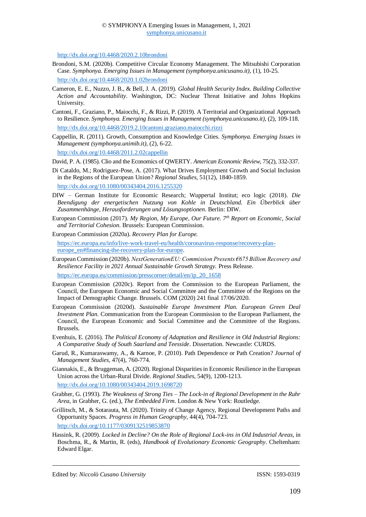<http://dx.doi.org/10.4468/2020.2.10brondoni>

- Brondoni, S.M. (2020b). Competitive Circular Economy Management. The Mitsubishi Corporation Case. *Symphonya. Emerging Issues in Management (symphonya.unicusano.it)*, (1), 10-25. <http://dx.doi.org/10.4468/2020.1.02brondoni>
- Cameron, E. E., Nuzzo, J. B., & Bell, J. A. (2019). *Global Health Security Index. Building Collective Action and Accountability*. Washington, DC: Nuclear Threat Initiative and Johns Hopkins University.
- Cantoni, F., Graziano, P., Maiocchi, F., & Rizzi, P. (2019). A Territorial and Organizational Approach to Resilience. *Symphonya. Emerging Issues in Management (symphonya.unicusano.it)*, (2), 109-118. <http://dx.doi.org/10.4468/2019.2.10cantoni.graziano.maiocchi.rizzi>
- Cappellin, R. (2011). Growth, Consumption and Knowledge Cities. *Symphonya. Emerging Issues in Management (symphonya.unimib.it)*, (2), 6-22.

<http://dx.doi.org/10.4468/2011.2.02cappellin>

David, P. A. (1985). Clio and the Economics of QWERTY. *American Economic Review*, 75(2), 332-337.

- Di Cataldo, M.; Rodriguez-Pose, A. (2017). What Drives Employment Growth and Social Inclusion in the Regions of the European Union? *Regional Studies*, 51(12), 1840-1859. <http://dx.doi.org/10.1080/00343404.2016.1255320>
- DIW German Institute for Economic Research; Wuppertal Institut; eco logic (2018). *Die Beendigung der energetischen Nutzung von Kohle in Deutschland. Ein Überblick über Zusammenhänge, Herausforderungen und Lösungsoptionen*. Berlin: DIW.
- European Commission (2017). *My Region, My Europe, Our Future. 7th Report on Economic, Social and Territorial Cohesion*. Brussels: European Commission.
- European Commission (2020a). *Recovery Plan for Europe.*

[https://ec.europa.eu/info/live-work-travel-eu/health/coronavirus-response/recovery-plan](https://ec.europa.eu/info/live-work-travel-eu/health/coronavirus-response/recovery-plan-europe_en#financing-the-recovery-plan-for-europe)[europe\\_en#financing-the-recovery-plan-for-europe.](https://ec.europa.eu/info/live-work-travel-eu/health/coronavirus-response/recovery-plan-europe_en#financing-the-recovery-plan-for-europe)

European Commission (2020b). *NextGenerationEU: Commission Presents €675 Billion Recovery and Resilience Facility in 2021 Annual Sustainable Growth Strategy.* Press Release.

[https://ec.europa.eu/commission/presscorner/detail/en/ip\\_20\\_1658](https://ec.europa.eu/commission/presscorner/detail/en/ip_20_1658)

- European Commission (2020c). Report from the Commission to the European Parliament, the Council, the European Economic and Social Committee and the Committee of the Regions on the Impact of Demographic Change. Brussels. COM (2020) 241 final 17/06/2020.
- European Commission (2020d). *Sustainable Europe Investment Plan. European Green Deal Investment Plan.* Communication from the European Commission to the European Parliament, the Council, the European Economic and Social Committee and the Committee of the Regions. Brussels.
- Evenhuis, E. (2016). *The Political Economy of Adaptation and Resilience in Old Industrial Regions: A Comparative Study of South Saarland and Teesside*. Dissertation. Newcastle: CURDS.
- Garud, R., Kumaraswamy, A., & Karnoe, P. (2010). Path Dependence or Path Creation? *Journal of Management Studies*, 47(4), 760-774.
- Giannakis, E., & Bruggeman, A. (2020). Regional Disparities in Economic Resilience in the European Union across the Urban-Rural Divide. *Regional Studies*, 54(9), 1200-1213. <http://dx.doi.org/10.1080/00343404.2019.1698720>
- Grabher, G. (1993). *The Weakness of Strong Ties – The Lock-in of Regional Development in the Ruhr Area*, in Grabher, G. (ed.), *The Embedded Firm*. London & New York: Routledge.
- Grillitsch, M., & Sotarauta, M. (2020). Trinity of Change Agency, Regional Development Paths and Opportunity Spaces. *Progress in Human Geography*, 44(4), 704-723. <http://dx.doi.org/10.1177/0309132519853870>
- Hassink, R. (2009). *Locked in Decline? On the Role of Regional Lock-ins in Old Industrial Areas*, in Boschma, R., & Martin, R. (eds), *Handbook of Evolutionary Economic Geography*. Cheltenham: Edward Elgar.